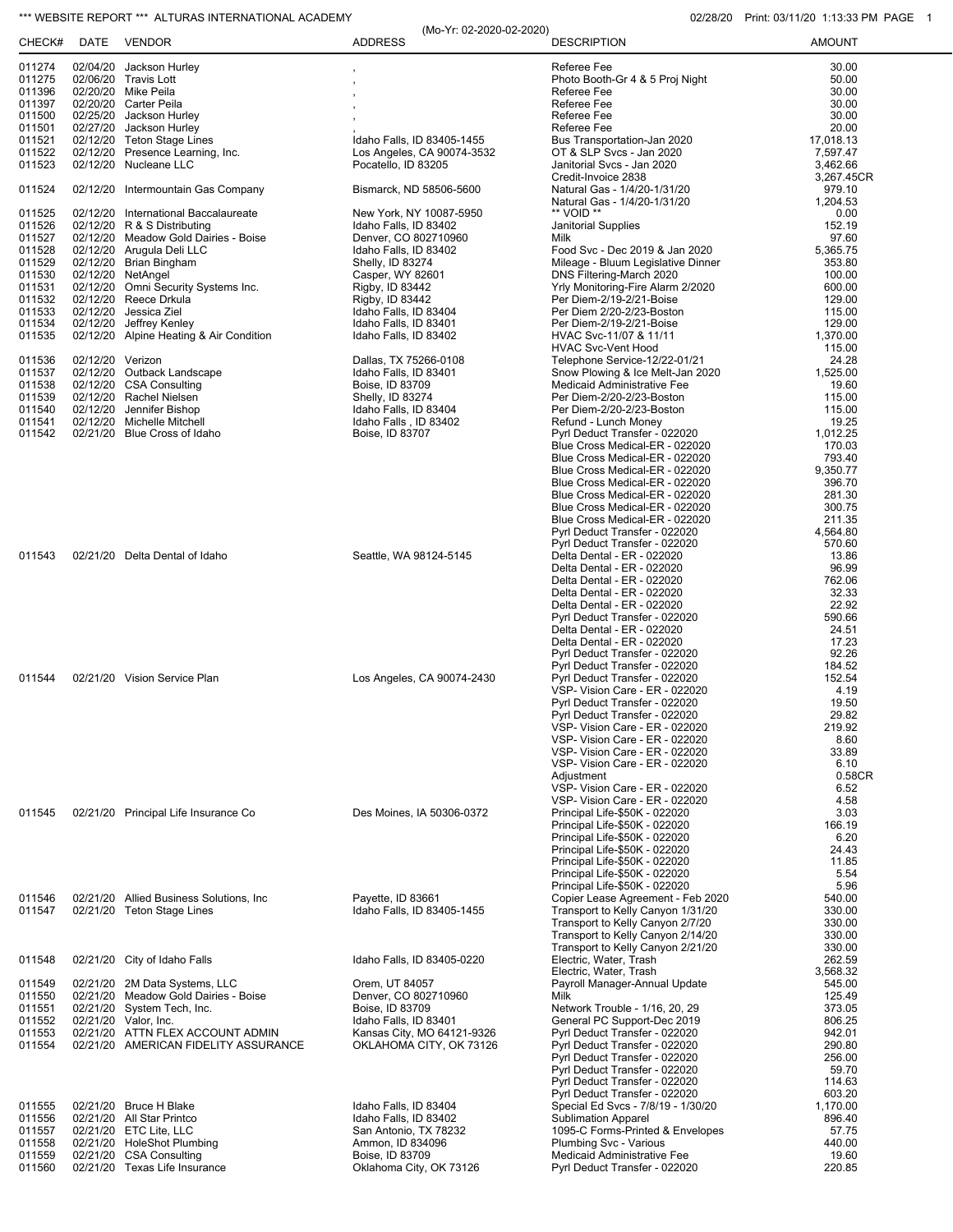## \*\*\* WEBSITE REPORT \*\*\* ALTURAS INTERNATIONAL ACADEMY **CONSUMENT CONSUMING THE CONSUMING OSCAL** 1113:33 PM PAGE 1

| 011274<br>02/04/20 Jackson Hurley<br>Referee Fee<br>30.00<br>011275<br>Photo Booth-Gr 4 & 5 Proj Night<br>50.00<br>02/06/20 Travis Lott<br>011396<br>30.00<br>02/20/20 Mike Peila<br>Referee Fee<br>011397<br>Referee Fee<br>30.00<br>02/20/20 Carter Peila<br>011500<br>02/25/20 Jackson Hurley<br>Referee Fee<br>30.00<br>011501<br>02/27/20 Jackson Hurley<br>Referee Fee<br>20.00<br>011521<br>02/12/20 Teton Stage Lines<br>Idaho Falls, ID 83405-1455<br>Bus Transportation-Jan 2020<br>17,018.13<br>011522<br>02/12/20 Presence Learning, Inc.<br>OT & SLP Svcs - Jan 2020<br>Los Angeles, CA 90074-3532<br>7,597.47<br>011523<br>02/12/20 Nucleane LLC<br>Janitorial Svcs - Jan 2020<br>Pocatello, ID 83205<br>3,462.66<br>Credit-Invoice 2838<br>3,267.45CR<br>011524<br>02/12/20 Intermountain Gas Company<br>Bismarck, ND 58506-5600<br>Natural Gas - 1/4/20-1/31/20<br>979.10<br>1,204.53<br>Natural Gas - 1/4/20-1/31/20<br>** VOID **<br>011525<br>02/12/20<br>International Baccalaureate<br>New York, NY 10087-5950<br>0.00<br>011526<br>02/12/20 R & S Distributing<br>Idaho Falls, ID 83402<br>Janitorial Supplies<br>152.19<br>011527<br>02/12/20 Meadow Gold Dairies - Boise<br>97.60<br>Denver, CO 802710960<br>Milk<br>011528<br>02/12/20 Arugula Deli LLC<br>Food Svc - Dec 2019 & Jan 2020<br>5,365.75<br>Idaho Falls, ID 83402<br>011529<br>02/12/20 Brian Bingham<br>353.80<br>Shelly, ID 83274<br>Mileage - Bluum Legislative Dinner<br>011530<br>02/12/20 NetAngel<br>Casper, WY 82601<br>DNS Filtering-March 2020<br>100.00<br>011531<br>02/12/20 Omni Security Systems Inc.<br>Rigby, ID 83442<br>Yrly Monitoring-Fire Alarm 2/2020<br>600.00<br>011532<br>02/12/20 Reece Drkula<br>Rigby, ID 83442<br>Per Diem-2/19-2/21-Boise<br>129.00<br>011533<br>02/12/20<br>Jessica Ziel<br>Idaho Falls, ID 83404<br>Per Diem 2/20-2/23-Boston<br>115.00<br>011534<br>02/12/20 Jeffrey Kenley<br>Idaho Falls, ID 83401<br>Per Diem-2/19-2/21-Boise<br>129.00<br>011535<br>02/12/20 Alpine Heating & Air Condition<br>1,370.00<br>Idaho Falls, ID 83402<br>HVAC Svc-11/07 & 11/11<br>115.00<br><b>HVAC Svc-Vent Hood</b><br>011536<br>02/12/20 Verizon<br>Dallas, TX 75266-0108<br>Telephone Service-12/22-01/21<br>24.28<br>011537<br>02/12/20 Outback Landscape<br>Idaho Falls, ID 83401<br>Snow Plowing & Ice Melt-Jan 2020<br>1,525.00<br>011538<br>02/12/20 CSA Consulting<br>Boise, ID 83709<br>Medicaid Administrative Fee<br>19.60<br>011539<br>02/12/20 Rachel Nielsen<br>Per Diem-2/20-2/23-Boston<br>115.00<br>Shelly, ID 83274<br>011540<br>Jennifer Bishop<br>115.00<br>02/12/20<br>Idaho Falls, ID 83404<br>Per Diem-2/20-2/23-Boston<br>011541<br>02/12/20 Michelle Mitchell<br>Idaho Falls, ID 83402<br>19.25<br>Refund - Lunch Money<br>011542<br>02/21/20 Blue Cross of Idaho<br>Boise, ID 83707<br>Pyrl Deduct Transfer - 022020<br>1,012.25<br>Blue Cross Medical-ER - 022020<br>170.03<br>793.40<br>Blue Cross Medical-ER - 022020<br>9,350.77<br>Blue Cross Medical-ER - 022020<br>Blue Cross Medical-ER - 022020<br>396.70<br>281.30<br>Blue Cross Medical-ER - 022020<br>Blue Cross Medical-ER - 022020<br>300.75<br>Blue Cross Medical-ER - 022020<br>211.35<br>Pyrl Deduct Transfer - 022020<br>4,564.80<br>Pyrl Deduct Transfer - 022020<br>570.60<br>011543<br>02/21/20 Delta Dental of Idaho<br>Delta Dental - ER - 022020<br>13.86<br>Seattle, WA 98124-5145<br>96.99<br>Delta Dental - ER - 022020<br>Delta Dental - ER - 022020<br>762.06<br>32.33<br>Delta Dental - ER - 022020<br>22.92<br>Delta Dental - ER - 022020<br>590.66<br>Pyrl Deduct Transfer - 022020<br>Delta Dental - ER - 022020<br>24.51<br>Delta Dental - ER - 022020<br>17.23<br>92.26<br>Pyrl Deduct Transfer - 022020<br>Pyrl Deduct Transfer - 022020<br>184.52<br>011544<br>02/21/20 Vision Service Plan<br>Los Angeles, CA 90074-2430<br>Pyrl Deduct Transfer - 022020<br>152.54<br>4.19<br>VSP- Vision Care - ER - 022020<br>19.50<br>Pyrl Deduct Transfer - 022020<br>29.82<br>Pyrl Deduct Transfer - 022020<br>VSP- Vision Care - ER - 022020<br>219.92<br>VSP- Vision Care - ER - 022020<br>8.60<br>33.89<br>VSP- Vision Care - ER - 022020<br>VSP- Vision Care - ER - 022020<br>6.10<br>Adjustment<br>0.58CR<br>VSP- Vision Care - ER - 022020<br>6.52<br>VSP- Vision Care - ER - 022020<br>4.58<br>3.03<br>011545<br>02/21/20 Principal Life Insurance Co<br>Des Moines, IA 50306-0372<br>Principal Life-\$50K - 022020<br>166.19<br>Principal Life-\$50K - 022020<br>Principal Life-\$50K - 022020<br>6.20<br>Principal Life-\$50K - 022020<br>24.43<br>11.85<br>Principal Life-\$50K - 022020<br>Principal Life-\$50K - 022020<br>5.54<br>Principal Life-\$50K - 022020<br>5.96<br>011546<br>02/21/20 Allied Business Solutions, Inc.<br>Payette, ID 83661<br>Copier Lease Agreement - Feb 2020<br>540.00<br>011547<br>Transport to Kelly Canyon 1/31/20<br>330.00<br>02/21/20 Teton Stage Lines<br>Idaho Falls, ID 83405-1455<br>Transport to Kelly Canyon 2/7/20<br>330.00<br>Transport to Kelly Canyon 2/14/20<br>330.00<br>Transport to Kelly Canyon 2/21/20<br>330.00<br>Electric, Water, Trash<br>262.59<br>011548<br>02/21/20 City of Idaho Falls<br>Idaho Falls, ID 83405-0220<br>Electric, Water, Trash<br>3,568.32<br>Payroll Manager-Annual Update<br>011549<br>02/21/20<br>2M Data Systems, LLC<br>Orem, UT 84057<br>545.00<br>02/21/20 Meadow Gold Dairies - Boise<br>Denver, CO 802710960<br>011550<br>Milk<br>125.49<br>011551<br>02/21/20 System Tech, Inc.<br>Boise, ID 83709<br>373.05<br>Network Trouble - 1/16, 20, 29<br>General PC Support-Dec 2019<br>011552<br>02/21/20 Valor, Inc.<br>Idaho Falls, ID 83401<br>806.25<br>02/21/20 ATTN FLEX ACCOUNT ADMIN<br>Pyrl Deduct Transfer - 022020<br>942.01<br>011553<br>Kansas City, MO 64121-9326<br>Pyrl Deduct Transfer - 022020<br>011554<br>02/21/20 AMERICAN FIDELITY ASSURANCE<br>OKLAHOMA CITY, OK 73126<br>290.80<br>Pyrl Deduct Transfer - 022020<br>256.00<br>Pyrl Deduct Transfer - 022020<br>59.70<br>Pyrl Deduct Transfer - 022020<br>114.63<br>Pyrl Deduct Transfer - 022020<br>603.20<br>02/21/20 Bruce H Blake<br>Special Ed Svcs - 7/8/19 - 1/30/20<br>011555<br>Idaho Falls, ID 83404<br>1,170.00<br><b>Sublimation Apparel</b><br>011556<br>02/21/20 All Star Printco<br>Idaho Falls, ID 83402<br>896.40<br>02/21/20 ETC Lite, LLC<br>1095-C Forms-Printed & Envelopes<br>57.75<br>011557<br>San Antonio, TX 78232<br>02/21/20 HoleShot Plumbing<br>011558<br>Ammon, ID 834096<br>Plumbing Svc - Various<br>440.00<br>011559<br>02/21/20 CSA Consulting<br>Medicaid Administrative Fee<br>Boise, ID 83709<br>19.60<br>011560<br>02/21/20 Texas Life Insurance<br>220.85<br>Oklahoma City, OK 73126<br>Pyrl Deduct Transfer - 022020 |        |      |               | (Mo-Yr: 02-2020-02-2020) |                    | 111111111 <i>111</i> 1112 |
|----------------------------------------------------------------------------------------------------------------------------------------------------------------------------------------------------------------------------------------------------------------------------------------------------------------------------------------------------------------------------------------------------------------------------------------------------------------------------------------------------------------------------------------------------------------------------------------------------------------------------------------------------------------------------------------------------------------------------------------------------------------------------------------------------------------------------------------------------------------------------------------------------------------------------------------------------------------------------------------------------------------------------------------------------------------------------------------------------------------------------------------------------------------------------------------------------------------------------------------------------------------------------------------------------------------------------------------------------------------------------------------------------------------------------------------------------------------------------------------------------------------------------------------------------------------------------------------------------------------------------------------------------------------------------------------------------------------------------------------------------------------------------------------------------------------------------------------------------------------------------------------------------------------------------------------------------------------------------------------------------------------------------------------------------------------------------------------------------------------------------------------------------------------------------------------------------------------------------------------------------------------------------------------------------------------------------------------------------------------------------------------------------------------------------------------------------------------------------------------------------------------------------------------------------------------------------------------------------------------------------------------------------------------------------------------------------------------------------------------------------------------------------------------------------------------------------------------------------------------------------------------------------------------------------------------------------------------------------------------------------------------------------------------------------------------------------------------------------------------------------------------------------------------------------------------------------------------------------------------------------------------------------------------------------------------------------------------------------------------------------------------------------------------------------------------------------------------------------------------------------------------------------------------------------------------------------------------------------------------------------------------------------------------------------------------------------------------------------------------------------------------------------------------------------------------------------------------------------------------------------------------------------------------------------------------------------------------------------------------------------------------------------------------------------------------------------------------------------------------------------------------------------------------------------------------------------------------------------------------------------------------------------------------------------------------------------------------------------------------------------------------------------------------------------------------------------------------------------------------------------------------------------------------------------------------------------------------------------------------------------------------------------------------------------------------------------------------------------------------------------------------------------------------------------------------------------------------------------------------------------------------------------------------------------------------------------------------------------------------------------------------------------------------------------------------------------------------------------------------------------------------------------------------------------------------------------------------------------------------------------------------------------------------------------------------------------------------------------------------------------------------------------------------------------------------------------------------------------------------------------------------------------------------------------------------------------------------------------------------------------------------------------------------------------------------------------------------------------------------------------------------------------------------------------------------------------------------------------------------------------------------------------------------------------------------------------------------------------------------------------------------------------------------------------------------------------------------------------------------------------------------------------------------------------------------------------------------------------------------------------------------------------------------------------------------------------------------------------------------------------------------------------------------------------------------------------------------------------------------------------------------------------------------------------------------------------------------------------------------------------------------------------------------------------------------------------------------------------------------------------------------|--------|------|---------------|--------------------------|--------------------|---------------------------|
|                                                                                                                                                                                                                                                                                                                                                                                                                                                                                                                                                                                                                                                                                                                                                                                                                                                                                                                                                                                                                                                                                                                                                                                                                                                                                                                                                                                                                                                                                                                                                                                                                                                                                                                                                                                                                                                                                                                                                                                                                                                                                                                                                                                                                                                                                                                                                                                                                                                                                                                                                                                                                                                                                                                                                                                                                                                                                                                                                                                                                                                                                                                                                                                                                                                                                                                                                                                                                                                                                                                                                                                                                                                                                                                                                                                                                                                                                                                                                                                                                                                                                                                                                                                                                                                                                                                                                                                                                                                                                                                                                                                                                                                                                                                                                                                                                                                                                                                                                                                                                                                                                                                                                                                                                                                                                                                                                                                                                                                                                                                                                                                                                                                                                                                                                                                                                                                                                                                                                                                                                                                                                                                                                                                                                                                                                                                                                                                                                                                                                                                                                                                                                                                                                                                                                                | CHECK# | DATE | <b>VENDOR</b> | <b>ADDRESS</b>           | <b>DESCRIPTION</b> | <b>AMOUNT</b>             |
|                                                                                                                                                                                                                                                                                                                                                                                                                                                                                                                                                                                                                                                                                                                                                                                                                                                                                                                                                                                                                                                                                                                                                                                                                                                                                                                                                                                                                                                                                                                                                                                                                                                                                                                                                                                                                                                                                                                                                                                                                                                                                                                                                                                                                                                                                                                                                                                                                                                                                                                                                                                                                                                                                                                                                                                                                                                                                                                                                                                                                                                                                                                                                                                                                                                                                                                                                                                                                                                                                                                                                                                                                                                                                                                                                                                                                                                                                                                                                                                                                                                                                                                                                                                                                                                                                                                                                                                                                                                                                                                                                                                                                                                                                                                                                                                                                                                                                                                                                                                                                                                                                                                                                                                                                                                                                                                                                                                                                                                                                                                                                                                                                                                                                                                                                                                                                                                                                                                                                                                                                                                                                                                                                                                                                                                                                                                                                                                                                                                                                                                                                                                                                                                                                                                                                                |        |      |               |                          |                    |                           |
|                                                                                                                                                                                                                                                                                                                                                                                                                                                                                                                                                                                                                                                                                                                                                                                                                                                                                                                                                                                                                                                                                                                                                                                                                                                                                                                                                                                                                                                                                                                                                                                                                                                                                                                                                                                                                                                                                                                                                                                                                                                                                                                                                                                                                                                                                                                                                                                                                                                                                                                                                                                                                                                                                                                                                                                                                                                                                                                                                                                                                                                                                                                                                                                                                                                                                                                                                                                                                                                                                                                                                                                                                                                                                                                                                                                                                                                                                                                                                                                                                                                                                                                                                                                                                                                                                                                                                                                                                                                                                                                                                                                                                                                                                                                                                                                                                                                                                                                                                                                                                                                                                                                                                                                                                                                                                                                                                                                                                                                                                                                                                                                                                                                                                                                                                                                                                                                                                                                                                                                                                                                                                                                                                                                                                                                                                                                                                                                                                                                                                                                                                                                                                                                                                                                                                                |        |      |               |                          |                    |                           |
|                                                                                                                                                                                                                                                                                                                                                                                                                                                                                                                                                                                                                                                                                                                                                                                                                                                                                                                                                                                                                                                                                                                                                                                                                                                                                                                                                                                                                                                                                                                                                                                                                                                                                                                                                                                                                                                                                                                                                                                                                                                                                                                                                                                                                                                                                                                                                                                                                                                                                                                                                                                                                                                                                                                                                                                                                                                                                                                                                                                                                                                                                                                                                                                                                                                                                                                                                                                                                                                                                                                                                                                                                                                                                                                                                                                                                                                                                                                                                                                                                                                                                                                                                                                                                                                                                                                                                                                                                                                                                                                                                                                                                                                                                                                                                                                                                                                                                                                                                                                                                                                                                                                                                                                                                                                                                                                                                                                                                                                                                                                                                                                                                                                                                                                                                                                                                                                                                                                                                                                                                                                                                                                                                                                                                                                                                                                                                                                                                                                                                                                                                                                                                                                                                                                                                                |        |      |               |                          |                    |                           |
|                                                                                                                                                                                                                                                                                                                                                                                                                                                                                                                                                                                                                                                                                                                                                                                                                                                                                                                                                                                                                                                                                                                                                                                                                                                                                                                                                                                                                                                                                                                                                                                                                                                                                                                                                                                                                                                                                                                                                                                                                                                                                                                                                                                                                                                                                                                                                                                                                                                                                                                                                                                                                                                                                                                                                                                                                                                                                                                                                                                                                                                                                                                                                                                                                                                                                                                                                                                                                                                                                                                                                                                                                                                                                                                                                                                                                                                                                                                                                                                                                                                                                                                                                                                                                                                                                                                                                                                                                                                                                                                                                                                                                                                                                                                                                                                                                                                                                                                                                                                                                                                                                                                                                                                                                                                                                                                                                                                                                                                                                                                                                                                                                                                                                                                                                                                                                                                                                                                                                                                                                                                                                                                                                                                                                                                                                                                                                                                                                                                                                                                                                                                                                                                                                                                                                                |        |      |               |                          |                    |                           |
|                                                                                                                                                                                                                                                                                                                                                                                                                                                                                                                                                                                                                                                                                                                                                                                                                                                                                                                                                                                                                                                                                                                                                                                                                                                                                                                                                                                                                                                                                                                                                                                                                                                                                                                                                                                                                                                                                                                                                                                                                                                                                                                                                                                                                                                                                                                                                                                                                                                                                                                                                                                                                                                                                                                                                                                                                                                                                                                                                                                                                                                                                                                                                                                                                                                                                                                                                                                                                                                                                                                                                                                                                                                                                                                                                                                                                                                                                                                                                                                                                                                                                                                                                                                                                                                                                                                                                                                                                                                                                                                                                                                                                                                                                                                                                                                                                                                                                                                                                                                                                                                                                                                                                                                                                                                                                                                                                                                                                                                                                                                                                                                                                                                                                                                                                                                                                                                                                                                                                                                                                                                                                                                                                                                                                                                                                                                                                                                                                                                                                                                                                                                                                                                                                                                                                                |        |      |               |                          |                    |                           |
|                                                                                                                                                                                                                                                                                                                                                                                                                                                                                                                                                                                                                                                                                                                                                                                                                                                                                                                                                                                                                                                                                                                                                                                                                                                                                                                                                                                                                                                                                                                                                                                                                                                                                                                                                                                                                                                                                                                                                                                                                                                                                                                                                                                                                                                                                                                                                                                                                                                                                                                                                                                                                                                                                                                                                                                                                                                                                                                                                                                                                                                                                                                                                                                                                                                                                                                                                                                                                                                                                                                                                                                                                                                                                                                                                                                                                                                                                                                                                                                                                                                                                                                                                                                                                                                                                                                                                                                                                                                                                                                                                                                                                                                                                                                                                                                                                                                                                                                                                                                                                                                                                                                                                                                                                                                                                                                                                                                                                                                                                                                                                                                                                                                                                                                                                                                                                                                                                                                                                                                                                                                                                                                                                                                                                                                                                                                                                                                                                                                                                                                                                                                                                                                                                                                                                                |        |      |               |                          |                    |                           |
|                                                                                                                                                                                                                                                                                                                                                                                                                                                                                                                                                                                                                                                                                                                                                                                                                                                                                                                                                                                                                                                                                                                                                                                                                                                                                                                                                                                                                                                                                                                                                                                                                                                                                                                                                                                                                                                                                                                                                                                                                                                                                                                                                                                                                                                                                                                                                                                                                                                                                                                                                                                                                                                                                                                                                                                                                                                                                                                                                                                                                                                                                                                                                                                                                                                                                                                                                                                                                                                                                                                                                                                                                                                                                                                                                                                                                                                                                                                                                                                                                                                                                                                                                                                                                                                                                                                                                                                                                                                                                                                                                                                                                                                                                                                                                                                                                                                                                                                                                                                                                                                                                                                                                                                                                                                                                                                                                                                                                                                                                                                                                                                                                                                                                                                                                                                                                                                                                                                                                                                                                                                                                                                                                                                                                                                                                                                                                                                                                                                                                                                                                                                                                                                                                                                                                                |        |      |               |                          |                    |                           |
|                                                                                                                                                                                                                                                                                                                                                                                                                                                                                                                                                                                                                                                                                                                                                                                                                                                                                                                                                                                                                                                                                                                                                                                                                                                                                                                                                                                                                                                                                                                                                                                                                                                                                                                                                                                                                                                                                                                                                                                                                                                                                                                                                                                                                                                                                                                                                                                                                                                                                                                                                                                                                                                                                                                                                                                                                                                                                                                                                                                                                                                                                                                                                                                                                                                                                                                                                                                                                                                                                                                                                                                                                                                                                                                                                                                                                                                                                                                                                                                                                                                                                                                                                                                                                                                                                                                                                                                                                                                                                                                                                                                                                                                                                                                                                                                                                                                                                                                                                                                                                                                                                                                                                                                                                                                                                                                                                                                                                                                                                                                                                                                                                                                                                                                                                                                                                                                                                                                                                                                                                                                                                                                                                                                                                                                                                                                                                                                                                                                                                                                                                                                                                                                                                                                                                                |        |      |               |                          |                    |                           |
|                                                                                                                                                                                                                                                                                                                                                                                                                                                                                                                                                                                                                                                                                                                                                                                                                                                                                                                                                                                                                                                                                                                                                                                                                                                                                                                                                                                                                                                                                                                                                                                                                                                                                                                                                                                                                                                                                                                                                                                                                                                                                                                                                                                                                                                                                                                                                                                                                                                                                                                                                                                                                                                                                                                                                                                                                                                                                                                                                                                                                                                                                                                                                                                                                                                                                                                                                                                                                                                                                                                                                                                                                                                                                                                                                                                                                                                                                                                                                                                                                                                                                                                                                                                                                                                                                                                                                                                                                                                                                                                                                                                                                                                                                                                                                                                                                                                                                                                                                                                                                                                                                                                                                                                                                                                                                                                                                                                                                                                                                                                                                                                                                                                                                                                                                                                                                                                                                                                                                                                                                                                                                                                                                                                                                                                                                                                                                                                                                                                                                                                                                                                                                                                                                                                                                                |        |      |               |                          |                    |                           |
|                                                                                                                                                                                                                                                                                                                                                                                                                                                                                                                                                                                                                                                                                                                                                                                                                                                                                                                                                                                                                                                                                                                                                                                                                                                                                                                                                                                                                                                                                                                                                                                                                                                                                                                                                                                                                                                                                                                                                                                                                                                                                                                                                                                                                                                                                                                                                                                                                                                                                                                                                                                                                                                                                                                                                                                                                                                                                                                                                                                                                                                                                                                                                                                                                                                                                                                                                                                                                                                                                                                                                                                                                                                                                                                                                                                                                                                                                                                                                                                                                                                                                                                                                                                                                                                                                                                                                                                                                                                                                                                                                                                                                                                                                                                                                                                                                                                                                                                                                                                                                                                                                                                                                                                                                                                                                                                                                                                                                                                                                                                                                                                                                                                                                                                                                                                                                                                                                                                                                                                                                                                                                                                                                                                                                                                                                                                                                                                                                                                                                                                                                                                                                                                                                                                                                                |        |      |               |                          |                    |                           |
|                                                                                                                                                                                                                                                                                                                                                                                                                                                                                                                                                                                                                                                                                                                                                                                                                                                                                                                                                                                                                                                                                                                                                                                                                                                                                                                                                                                                                                                                                                                                                                                                                                                                                                                                                                                                                                                                                                                                                                                                                                                                                                                                                                                                                                                                                                                                                                                                                                                                                                                                                                                                                                                                                                                                                                                                                                                                                                                                                                                                                                                                                                                                                                                                                                                                                                                                                                                                                                                                                                                                                                                                                                                                                                                                                                                                                                                                                                                                                                                                                                                                                                                                                                                                                                                                                                                                                                                                                                                                                                                                                                                                                                                                                                                                                                                                                                                                                                                                                                                                                                                                                                                                                                                                                                                                                                                                                                                                                                                                                                                                                                                                                                                                                                                                                                                                                                                                                                                                                                                                                                                                                                                                                                                                                                                                                                                                                                                                                                                                                                                                                                                                                                                                                                                                                                |        |      |               |                          |                    |                           |
|                                                                                                                                                                                                                                                                                                                                                                                                                                                                                                                                                                                                                                                                                                                                                                                                                                                                                                                                                                                                                                                                                                                                                                                                                                                                                                                                                                                                                                                                                                                                                                                                                                                                                                                                                                                                                                                                                                                                                                                                                                                                                                                                                                                                                                                                                                                                                                                                                                                                                                                                                                                                                                                                                                                                                                                                                                                                                                                                                                                                                                                                                                                                                                                                                                                                                                                                                                                                                                                                                                                                                                                                                                                                                                                                                                                                                                                                                                                                                                                                                                                                                                                                                                                                                                                                                                                                                                                                                                                                                                                                                                                                                                                                                                                                                                                                                                                                                                                                                                                                                                                                                                                                                                                                                                                                                                                                                                                                                                                                                                                                                                                                                                                                                                                                                                                                                                                                                                                                                                                                                                                                                                                                                                                                                                                                                                                                                                                                                                                                                                                                                                                                                                                                                                                                                                |        |      |               |                          |                    |                           |
|                                                                                                                                                                                                                                                                                                                                                                                                                                                                                                                                                                                                                                                                                                                                                                                                                                                                                                                                                                                                                                                                                                                                                                                                                                                                                                                                                                                                                                                                                                                                                                                                                                                                                                                                                                                                                                                                                                                                                                                                                                                                                                                                                                                                                                                                                                                                                                                                                                                                                                                                                                                                                                                                                                                                                                                                                                                                                                                                                                                                                                                                                                                                                                                                                                                                                                                                                                                                                                                                                                                                                                                                                                                                                                                                                                                                                                                                                                                                                                                                                                                                                                                                                                                                                                                                                                                                                                                                                                                                                                                                                                                                                                                                                                                                                                                                                                                                                                                                                                                                                                                                                                                                                                                                                                                                                                                                                                                                                                                                                                                                                                                                                                                                                                                                                                                                                                                                                                                                                                                                                                                                                                                                                                                                                                                                                                                                                                                                                                                                                                                                                                                                                                                                                                                                                                |        |      |               |                          |                    |                           |
|                                                                                                                                                                                                                                                                                                                                                                                                                                                                                                                                                                                                                                                                                                                                                                                                                                                                                                                                                                                                                                                                                                                                                                                                                                                                                                                                                                                                                                                                                                                                                                                                                                                                                                                                                                                                                                                                                                                                                                                                                                                                                                                                                                                                                                                                                                                                                                                                                                                                                                                                                                                                                                                                                                                                                                                                                                                                                                                                                                                                                                                                                                                                                                                                                                                                                                                                                                                                                                                                                                                                                                                                                                                                                                                                                                                                                                                                                                                                                                                                                                                                                                                                                                                                                                                                                                                                                                                                                                                                                                                                                                                                                                                                                                                                                                                                                                                                                                                                                                                                                                                                                                                                                                                                                                                                                                                                                                                                                                                                                                                                                                                                                                                                                                                                                                                                                                                                                                                                                                                                                                                                                                                                                                                                                                                                                                                                                                                                                                                                                                                                                                                                                                                                                                                                                                |        |      |               |                          |                    |                           |
|                                                                                                                                                                                                                                                                                                                                                                                                                                                                                                                                                                                                                                                                                                                                                                                                                                                                                                                                                                                                                                                                                                                                                                                                                                                                                                                                                                                                                                                                                                                                                                                                                                                                                                                                                                                                                                                                                                                                                                                                                                                                                                                                                                                                                                                                                                                                                                                                                                                                                                                                                                                                                                                                                                                                                                                                                                                                                                                                                                                                                                                                                                                                                                                                                                                                                                                                                                                                                                                                                                                                                                                                                                                                                                                                                                                                                                                                                                                                                                                                                                                                                                                                                                                                                                                                                                                                                                                                                                                                                                                                                                                                                                                                                                                                                                                                                                                                                                                                                                                                                                                                                                                                                                                                                                                                                                                                                                                                                                                                                                                                                                                                                                                                                                                                                                                                                                                                                                                                                                                                                                                                                                                                                                                                                                                                                                                                                                                                                                                                                                                                                                                                                                                                                                                                                                |        |      |               |                          |                    |                           |
|                                                                                                                                                                                                                                                                                                                                                                                                                                                                                                                                                                                                                                                                                                                                                                                                                                                                                                                                                                                                                                                                                                                                                                                                                                                                                                                                                                                                                                                                                                                                                                                                                                                                                                                                                                                                                                                                                                                                                                                                                                                                                                                                                                                                                                                                                                                                                                                                                                                                                                                                                                                                                                                                                                                                                                                                                                                                                                                                                                                                                                                                                                                                                                                                                                                                                                                                                                                                                                                                                                                                                                                                                                                                                                                                                                                                                                                                                                                                                                                                                                                                                                                                                                                                                                                                                                                                                                                                                                                                                                                                                                                                                                                                                                                                                                                                                                                                                                                                                                                                                                                                                                                                                                                                                                                                                                                                                                                                                                                                                                                                                                                                                                                                                                                                                                                                                                                                                                                                                                                                                                                                                                                                                                                                                                                                                                                                                                                                                                                                                                                                                                                                                                                                                                                                                                |        |      |               |                          |                    |                           |
|                                                                                                                                                                                                                                                                                                                                                                                                                                                                                                                                                                                                                                                                                                                                                                                                                                                                                                                                                                                                                                                                                                                                                                                                                                                                                                                                                                                                                                                                                                                                                                                                                                                                                                                                                                                                                                                                                                                                                                                                                                                                                                                                                                                                                                                                                                                                                                                                                                                                                                                                                                                                                                                                                                                                                                                                                                                                                                                                                                                                                                                                                                                                                                                                                                                                                                                                                                                                                                                                                                                                                                                                                                                                                                                                                                                                                                                                                                                                                                                                                                                                                                                                                                                                                                                                                                                                                                                                                                                                                                                                                                                                                                                                                                                                                                                                                                                                                                                                                                                                                                                                                                                                                                                                                                                                                                                                                                                                                                                                                                                                                                                                                                                                                                                                                                                                                                                                                                                                                                                                                                                                                                                                                                                                                                                                                                                                                                                                                                                                                                                                                                                                                                                                                                                                                                |        |      |               |                          |                    |                           |
|                                                                                                                                                                                                                                                                                                                                                                                                                                                                                                                                                                                                                                                                                                                                                                                                                                                                                                                                                                                                                                                                                                                                                                                                                                                                                                                                                                                                                                                                                                                                                                                                                                                                                                                                                                                                                                                                                                                                                                                                                                                                                                                                                                                                                                                                                                                                                                                                                                                                                                                                                                                                                                                                                                                                                                                                                                                                                                                                                                                                                                                                                                                                                                                                                                                                                                                                                                                                                                                                                                                                                                                                                                                                                                                                                                                                                                                                                                                                                                                                                                                                                                                                                                                                                                                                                                                                                                                                                                                                                                                                                                                                                                                                                                                                                                                                                                                                                                                                                                                                                                                                                                                                                                                                                                                                                                                                                                                                                                                                                                                                                                                                                                                                                                                                                                                                                                                                                                                                                                                                                                                                                                                                                                                                                                                                                                                                                                                                                                                                                                                                                                                                                                                                                                                                                                |        |      |               |                          |                    |                           |
|                                                                                                                                                                                                                                                                                                                                                                                                                                                                                                                                                                                                                                                                                                                                                                                                                                                                                                                                                                                                                                                                                                                                                                                                                                                                                                                                                                                                                                                                                                                                                                                                                                                                                                                                                                                                                                                                                                                                                                                                                                                                                                                                                                                                                                                                                                                                                                                                                                                                                                                                                                                                                                                                                                                                                                                                                                                                                                                                                                                                                                                                                                                                                                                                                                                                                                                                                                                                                                                                                                                                                                                                                                                                                                                                                                                                                                                                                                                                                                                                                                                                                                                                                                                                                                                                                                                                                                                                                                                                                                                                                                                                                                                                                                                                                                                                                                                                                                                                                                                                                                                                                                                                                                                                                                                                                                                                                                                                                                                                                                                                                                                                                                                                                                                                                                                                                                                                                                                                                                                                                                                                                                                                                                                                                                                                                                                                                                                                                                                                                                                                                                                                                                                                                                                                                                |        |      |               |                          |                    |                           |
|                                                                                                                                                                                                                                                                                                                                                                                                                                                                                                                                                                                                                                                                                                                                                                                                                                                                                                                                                                                                                                                                                                                                                                                                                                                                                                                                                                                                                                                                                                                                                                                                                                                                                                                                                                                                                                                                                                                                                                                                                                                                                                                                                                                                                                                                                                                                                                                                                                                                                                                                                                                                                                                                                                                                                                                                                                                                                                                                                                                                                                                                                                                                                                                                                                                                                                                                                                                                                                                                                                                                                                                                                                                                                                                                                                                                                                                                                                                                                                                                                                                                                                                                                                                                                                                                                                                                                                                                                                                                                                                                                                                                                                                                                                                                                                                                                                                                                                                                                                                                                                                                                                                                                                                                                                                                                                                                                                                                                                                                                                                                                                                                                                                                                                                                                                                                                                                                                                                                                                                                                                                                                                                                                                                                                                                                                                                                                                                                                                                                                                                                                                                                                                                                                                                                                                |        |      |               |                          |                    |                           |
|                                                                                                                                                                                                                                                                                                                                                                                                                                                                                                                                                                                                                                                                                                                                                                                                                                                                                                                                                                                                                                                                                                                                                                                                                                                                                                                                                                                                                                                                                                                                                                                                                                                                                                                                                                                                                                                                                                                                                                                                                                                                                                                                                                                                                                                                                                                                                                                                                                                                                                                                                                                                                                                                                                                                                                                                                                                                                                                                                                                                                                                                                                                                                                                                                                                                                                                                                                                                                                                                                                                                                                                                                                                                                                                                                                                                                                                                                                                                                                                                                                                                                                                                                                                                                                                                                                                                                                                                                                                                                                                                                                                                                                                                                                                                                                                                                                                                                                                                                                                                                                                                                                                                                                                                                                                                                                                                                                                                                                                                                                                                                                                                                                                                                                                                                                                                                                                                                                                                                                                                                                                                                                                                                                                                                                                                                                                                                                                                                                                                                                                                                                                                                                                                                                                                                                |        |      |               |                          |                    |                           |
|                                                                                                                                                                                                                                                                                                                                                                                                                                                                                                                                                                                                                                                                                                                                                                                                                                                                                                                                                                                                                                                                                                                                                                                                                                                                                                                                                                                                                                                                                                                                                                                                                                                                                                                                                                                                                                                                                                                                                                                                                                                                                                                                                                                                                                                                                                                                                                                                                                                                                                                                                                                                                                                                                                                                                                                                                                                                                                                                                                                                                                                                                                                                                                                                                                                                                                                                                                                                                                                                                                                                                                                                                                                                                                                                                                                                                                                                                                                                                                                                                                                                                                                                                                                                                                                                                                                                                                                                                                                                                                                                                                                                                                                                                                                                                                                                                                                                                                                                                                                                                                                                                                                                                                                                                                                                                                                                                                                                                                                                                                                                                                                                                                                                                                                                                                                                                                                                                                                                                                                                                                                                                                                                                                                                                                                                                                                                                                                                                                                                                                                                                                                                                                                                                                                                                                |        |      |               |                          |                    |                           |
|                                                                                                                                                                                                                                                                                                                                                                                                                                                                                                                                                                                                                                                                                                                                                                                                                                                                                                                                                                                                                                                                                                                                                                                                                                                                                                                                                                                                                                                                                                                                                                                                                                                                                                                                                                                                                                                                                                                                                                                                                                                                                                                                                                                                                                                                                                                                                                                                                                                                                                                                                                                                                                                                                                                                                                                                                                                                                                                                                                                                                                                                                                                                                                                                                                                                                                                                                                                                                                                                                                                                                                                                                                                                                                                                                                                                                                                                                                                                                                                                                                                                                                                                                                                                                                                                                                                                                                                                                                                                                                                                                                                                                                                                                                                                                                                                                                                                                                                                                                                                                                                                                                                                                                                                                                                                                                                                                                                                                                                                                                                                                                                                                                                                                                                                                                                                                                                                                                                                                                                                                                                                                                                                                                                                                                                                                                                                                                                                                                                                                                                                                                                                                                                                                                                                                                |        |      |               |                          |                    |                           |
|                                                                                                                                                                                                                                                                                                                                                                                                                                                                                                                                                                                                                                                                                                                                                                                                                                                                                                                                                                                                                                                                                                                                                                                                                                                                                                                                                                                                                                                                                                                                                                                                                                                                                                                                                                                                                                                                                                                                                                                                                                                                                                                                                                                                                                                                                                                                                                                                                                                                                                                                                                                                                                                                                                                                                                                                                                                                                                                                                                                                                                                                                                                                                                                                                                                                                                                                                                                                                                                                                                                                                                                                                                                                                                                                                                                                                                                                                                                                                                                                                                                                                                                                                                                                                                                                                                                                                                                                                                                                                                                                                                                                                                                                                                                                                                                                                                                                                                                                                                                                                                                                                                                                                                                                                                                                                                                                                                                                                                                                                                                                                                                                                                                                                                                                                                                                                                                                                                                                                                                                                                                                                                                                                                                                                                                                                                                                                                                                                                                                                                                                                                                                                                                                                                                                                                |        |      |               |                          |                    |                           |
|                                                                                                                                                                                                                                                                                                                                                                                                                                                                                                                                                                                                                                                                                                                                                                                                                                                                                                                                                                                                                                                                                                                                                                                                                                                                                                                                                                                                                                                                                                                                                                                                                                                                                                                                                                                                                                                                                                                                                                                                                                                                                                                                                                                                                                                                                                                                                                                                                                                                                                                                                                                                                                                                                                                                                                                                                                                                                                                                                                                                                                                                                                                                                                                                                                                                                                                                                                                                                                                                                                                                                                                                                                                                                                                                                                                                                                                                                                                                                                                                                                                                                                                                                                                                                                                                                                                                                                                                                                                                                                                                                                                                                                                                                                                                                                                                                                                                                                                                                                                                                                                                                                                                                                                                                                                                                                                                                                                                                                                                                                                                                                                                                                                                                                                                                                                                                                                                                                                                                                                                                                                                                                                                                                                                                                                                                                                                                                                                                                                                                                                                                                                                                                                                                                                                                                |        |      |               |                          |                    |                           |
|                                                                                                                                                                                                                                                                                                                                                                                                                                                                                                                                                                                                                                                                                                                                                                                                                                                                                                                                                                                                                                                                                                                                                                                                                                                                                                                                                                                                                                                                                                                                                                                                                                                                                                                                                                                                                                                                                                                                                                                                                                                                                                                                                                                                                                                                                                                                                                                                                                                                                                                                                                                                                                                                                                                                                                                                                                                                                                                                                                                                                                                                                                                                                                                                                                                                                                                                                                                                                                                                                                                                                                                                                                                                                                                                                                                                                                                                                                                                                                                                                                                                                                                                                                                                                                                                                                                                                                                                                                                                                                                                                                                                                                                                                                                                                                                                                                                                                                                                                                                                                                                                                                                                                                                                                                                                                                                                                                                                                                                                                                                                                                                                                                                                                                                                                                                                                                                                                                                                                                                                                                                                                                                                                                                                                                                                                                                                                                                                                                                                                                                                                                                                                                                                                                                                                                |        |      |               |                          |                    |                           |
|                                                                                                                                                                                                                                                                                                                                                                                                                                                                                                                                                                                                                                                                                                                                                                                                                                                                                                                                                                                                                                                                                                                                                                                                                                                                                                                                                                                                                                                                                                                                                                                                                                                                                                                                                                                                                                                                                                                                                                                                                                                                                                                                                                                                                                                                                                                                                                                                                                                                                                                                                                                                                                                                                                                                                                                                                                                                                                                                                                                                                                                                                                                                                                                                                                                                                                                                                                                                                                                                                                                                                                                                                                                                                                                                                                                                                                                                                                                                                                                                                                                                                                                                                                                                                                                                                                                                                                                                                                                                                                                                                                                                                                                                                                                                                                                                                                                                                                                                                                                                                                                                                                                                                                                                                                                                                                                                                                                                                                                                                                                                                                                                                                                                                                                                                                                                                                                                                                                                                                                                                                                                                                                                                                                                                                                                                                                                                                                                                                                                                                                                                                                                                                                                                                                                                                |        |      |               |                          |                    |                           |
|                                                                                                                                                                                                                                                                                                                                                                                                                                                                                                                                                                                                                                                                                                                                                                                                                                                                                                                                                                                                                                                                                                                                                                                                                                                                                                                                                                                                                                                                                                                                                                                                                                                                                                                                                                                                                                                                                                                                                                                                                                                                                                                                                                                                                                                                                                                                                                                                                                                                                                                                                                                                                                                                                                                                                                                                                                                                                                                                                                                                                                                                                                                                                                                                                                                                                                                                                                                                                                                                                                                                                                                                                                                                                                                                                                                                                                                                                                                                                                                                                                                                                                                                                                                                                                                                                                                                                                                                                                                                                                                                                                                                                                                                                                                                                                                                                                                                                                                                                                                                                                                                                                                                                                                                                                                                                                                                                                                                                                                                                                                                                                                                                                                                                                                                                                                                                                                                                                                                                                                                                                                                                                                                                                                                                                                                                                                                                                                                                                                                                                                                                                                                                                                                                                                                                                |        |      |               |                          |                    |                           |
|                                                                                                                                                                                                                                                                                                                                                                                                                                                                                                                                                                                                                                                                                                                                                                                                                                                                                                                                                                                                                                                                                                                                                                                                                                                                                                                                                                                                                                                                                                                                                                                                                                                                                                                                                                                                                                                                                                                                                                                                                                                                                                                                                                                                                                                                                                                                                                                                                                                                                                                                                                                                                                                                                                                                                                                                                                                                                                                                                                                                                                                                                                                                                                                                                                                                                                                                                                                                                                                                                                                                                                                                                                                                                                                                                                                                                                                                                                                                                                                                                                                                                                                                                                                                                                                                                                                                                                                                                                                                                                                                                                                                                                                                                                                                                                                                                                                                                                                                                                                                                                                                                                                                                                                                                                                                                                                                                                                                                                                                                                                                                                                                                                                                                                                                                                                                                                                                                                                                                                                                                                                                                                                                                                                                                                                                                                                                                                                                                                                                                                                                                                                                                                                                                                                                                                |        |      |               |                          |                    |                           |
|                                                                                                                                                                                                                                                                                                                                                                                                                                                                                                                                                                                                                                                                                                                                                                                                                                                                                                                                                                                                                                                                                                                                                                                                                                                                                                                                                                                                                                                                                                                                                                                                                                                                                                                                                                                                                                                                                                                                                                                                                                                                                                                                                                                                                                                                                                                                                                                                                                                                                                                                                                                                                                                                                                                                                                                                                                                                                                                                                                                                                                                                                                                                                                                                                                                                                                                                                                                                                                                                                                                                                                                                                                                                                                                                                                                                                                                                                                                                                                                                                                                                                                                                                                                                                                                                                                                                                                                                                                                                                                                                                                                                                                                                                                                                                                                                                                                                                                                                                                                                                                                                                                                                                                                                                                                                                                                                                                                                                                                                                                                                                                                                                                                                                                                                                                                                                                                                                                                                                                                                                                                                                                                                                                                                                                                                                                                                                                                                                                                                                                                                                                                                                                                                                                                                                                |        |      |               |                          |                    |                           |
|                                                                                                                                                                                                                                                                                                                                                                                                                                                                                                                                                                                                                                                                                                                                                                                                                                                                                                                                                                                                                                                                                                                                                                                                                                                                                                                                                                                                                                                                                                                                                                                                                                                                                                                                                                                                                                                                                                                                                                                                                                                                                                                                                                                                                                                                                                                                                                                                                                                                                                                                                                                                                                                                                                                                                                                                                                                                                                                                                                                                                                                                                                                                                                                                                                                                                                                                                                                                                                                                                                                                                                                                                                                                                                                                                                                                                                                                                                                                                                                                                                                                                                                                                                                                                                                                                                                                                                                                                                                                                                                                                                                                                                                                                                                                                                                                                                                                                                                                                                                                                                                                                                                                                                                                                                                                                                                                                                                                                                                                                                                                                                                                                                                                                                                                                                                                                                                                                                                                                                                                                                                                                                                                                                                                                                                                                                                                                                                                                                                                                                                                                                                                                                                                                                                                                                |        |      |               |                          |                    |                           |
|                                                                                                                                                                                                                                                                                                                                                                                                                                                                                                                                                                                                                                                                                                                                                                                                                                                                                                                                                                                                                                                                                                                                                                                                                                                                                                                                                                                                                                                                                                                                                                                                                                                                                                                                                                                                                                                                                                                                                                                                                                                                                                                                                                                                                                                                                                                                                                                                                                                                                                                                                                                                                                                                                                                                                                                                                                                                                                                                                                                                                                                                                                                                                                                                                                                                                                                                                                                                                                                                                                                                                                                                                                                                                                                                                                                                                                                                                                                                                                                                                                                                                                                                                                                                                                                                                                                                                                                                                                                                                                                                                                                                                                                                                                                                                                                                                                                                                                                                                                                                                                                                                                                                                                                                                                                                                                                                                                                                                                                                                                                                                                                                                                                                                                                                                                                                                                                                                                                                                                                                                                                                                                                                                                                                                                                                                                                                                                                                                                                                                                                                                                                                                                                                                                                                                                |        |      |               |                          |                    |                           |
|                                                                                                                                                                                                                                                                                                                                                                                                                                                                                                                                                                                                                                                                                                                                                                                                                                                                                                                                                                                                                                                                                                                                                                                                                                                                                                                                                                                                                                                                                                                                                                                                                                                                                                                                                                                                                                                                                                                                                                                                                                                                                                                                                                                                                                                                                                                                                                                                                                                                                                                                                                                                                                                                                                                                                                                                                                                                                                                                                                                                                                                                                                                                                                                                                                                                                                                                                                                                                                                                                                                                                                                                                                                                                                                                                                                                                                                                                                                                                                                                                                                                                                                                                                                                                                                                                                                                                                                                                                                                                                                                                                                                                                                                                                                                                                                                                                                                                                                                                                                                                                                                                                                                                                                                                                                                                                                                                                                                                                                                                                                                                                                                                                                                                                                                                                                                                                                                                                                                                                                                                                                                                                                                                                                                                                                                                                                                                                                                                                                                                                                                                                                                                                                                                                                                                                |        |      |               |                          |                    |                           |
|                                                                                                                                                                                                                                                                                                                                                                                                                                                                                                                                                                                                                                                                                                                                                                                                                                                                                                                                                                                                                                                                                                                                                                                                                                                                                                                                                                                                                                                                                                                                                                                                                                                                                                                                                                                                                                                                                                                                                                                                                                                                                                                                                                                                                                                                                                                                                                                                                                                                                                                                                                                                                                                                                                                                                                                                                                                                                                                                                                                                                                                                                                                                                                                                                                                                                                                                                                                                                                                                                                                                                                                                                                                                                                                                                                                                                                                                                                                                                                                                                                                                                                                                                                                                                                                                                                                                                                                                                                                                                                                                                                                                                                                                                                                                                                                                                                                                                                                                                                                                                                                                                                                                                                                                                                                                                                                                                                                                                                                                                                                                                                                                                                                                                                                                                                                                                                                                                                                                                                                                                                                                                                                                                                                                                                                                                                                                                                                                                                                                                                                                                                                                                                                                                                                                                                |        |      |               |                          |                    |                           |
|                                                                                                                                                                                                                                                                                                                                                                                                                                                                                                                                                                                                                                                                                                                                                                                                                                                                                                                                                                                                                                                                                                                                                                                                                                                                                                                                                                                                                                                                                                                                                                                                                                                                                                                                                                                                                                                                                                                                                                                                                                                                                                                                                                                                                                                                                                                                                                                                                                                                                                                                                                                                                                                                                                                                                                                                                                                                                                                                                                                                                                                                                                                                                                                                                                                                                                                                                                                                                                                                                                                                                                                                                                                                                                                                                                                                                                                                                                                                                                                                                                                                                                                                                                                                                                                                                                                                                                                                                                                                                                                                                                                                                                                                                                                                                                                                                                                                                                                                                                                                                                                                                                                                                                                                                                                                                                                                                                                                                                                                                                                                                                                                                                                                                                                                                                                                                                                                                                                                                                                                                                                                                                                                                                                                                                                                                                                                                                                                                                                                                                                                                                                                                                                                                                                                                                |        |      |               |                          |                    |                           |
|                                                                                                                                                                                                                                                                                                                                                                                                                                                                                                                                                                                                                                                                                                                                                                                                                                                                                                                                                                                                                                                                                                                                                                                                                                                                                                                                                                                                                                                                                                                                                                                                                                                                                                                                                                                                                                                                                                                                                                                                                                                                                                                                                                                                                                                                                                                                                                                                                                                                                                                                                                                                                                                                                                                                                                                                                                                                                                                                                                                                                                                                                                                                                                                                                                                                                                                                                                                                                                                                                                                                                                                                                                                                                                                                                                                                                                                                                                                                                                                                                                                                                                                                                                                                                                                                                                                                                                                                                                                                                                                                                                                                                                                                                                                                                                                                                                                                                                                                                                                                                                                                                                                                                                                                                                                                                                                                                                                                                                                                                                                                                                                                                                                                                                                                                                                                                                                                                                                                                                                                                                                                                                                                                                                                                                                                                                                                                                                                                                                                                                                                                                                                                                                                                                                                                                |        |      |               |                          |                    |                           |
|                                                                                                                                                                                                                                                                                                                                                                                                                                                                                                                                                                                                                                                                                                                                                                                                                                                                                                                                                                                                                                                                                                                                                                                                                                                                                                                                                                                                                                                                                                                                                                                                                                                                                                                                                                                                                                                                                                                                                                                                                                                                                                                                                                                                                                                                                                                                                                                                                                                                                                                                                                                                                                                                                                                                                                                                                                                                                                                                                                                                                                                                                                                                                                                                                                                                                                                                                                                                                                                                                                                                                                                                                                                                                                                                                                                                                                                                                                                                                                                                                                                                                                                                                                                                                                                                                                                                                                                                                                                                                                                                                                                                                                                                                                                                                                                                                                                                                                                                                                                                                                                                                                                                                                                                                                                                                                                                                                                                                                                                                                                                                                                                                                                                                                                                                                                                                                                                                                                                                                                                                                                                                                                                                                                                                                                                                                                                                                                                                                                                                                                                                                                                                                                                                                                                                                |        |      |               |                          |                    |                           |
|                                                                                                                                                                                                                                                                                                                                                                                                                                                                                                                                                                                                                                                                                                                                                                                                                                                                                                                                                                                                                                                                                                                                                                                                                                                                                                                                                                                                                                                                                                                                                                                                                                                                                                                                                                                                                                                                                                                                                                                                                                                                                                                                                                                                                                                                                                                                                                                                                                                                                                                                                                                                                                                                                                                                                                                                                                                                                                                                                                                                                                                                                                                                                                                                                                                                                                                                                                                                                                                                                                                                                                                                                                                                                                                                                                                                                                                                                                                                                                                                                                                                                                                                                                                                                                                                                                                                                                                                                                                                                                                                                                                                                                                                                                                                                                                                                                                                                                                                                                                                                                                                                                                                                                                                                                                                                                                                                                                                                                                                                                                                                                                                                                                                                                                                                                                                                                                                                                                                                                                                                                                                                                                                                                                                                                                                                                                                                                                                                                                                                                                                                                                                                                                                                                                                                                |        |      |               |                          |                    |                           |
|                                                                                                                                                                                                                                                                                                                                                                                                                                                                                                                                                                                                                                                                                                                                                                                                                                                                                                                                                                                                                                                                                                                                                                                                                                                                                                                                                                                                                                                                                                                                                                                                                                                                                                                                                                                                                                                                                                                                                                                                                                                                                                                                                                                                                                                                                                                                                                                                                                                                                                                                                                                                                                                                                                                                                                                                                                                                                                                                                                                                                                                                                                                                                                                                                                                                                                                                                                                                                                                                                                                                                                                                                                                                                                                                                                                                                                                                                                                                                                                                                                                                                                                                                                                                                                                                                                                                                                                                                                                                                                                                                                                                                                                                                                                                                                                                                                                                                                                                                                                                                                                                                                                                                                                                                                                                                                                                                                                                                                                                                                                                                                                                                                                                                                                                                                                                                                                                                                                                                                                                                                                                                                                                                                                                                                                                                                                                                                                                                                                                                                                                                                                                                                                                                                                                                                |        |      |               |                          |                    |                           |
|                                                                                                                                                                                                                                                                                                                                                                                                                                                                                                                                                                                                                                                                                                                                                                                                                                                                                                                                                                                                                                                                                                                                                                                                                                                                                                                                                                                                                                                                                                                                                                                                                                                                                                                                                                                                                                                                                                                                                                                                                                                                                                                                                                                                                                                                                                                                                                                                                                                                                                                                                                                                                                                                                                                                                                                                                                                                                                                                                                                                                                                                                                                                                                                                                                                                                                                                                                                                                                                                                                                                                                                                                                                                                                                                                                                                                                                                                                                                                                                                                                                                                                                                                                                                                                                                                                                                                                                                                                                                                                                                                                                                                                                                                                                                                                                                                                                                                                                                                                                                                                                                                                                                                                                                                                                                                                                                                                                                                                                                                                                                                                                                                                                                                                                                                                                                                                                                                                                                                                                                                                                                                                                                                                                                                                                                                                                                                                                                                                                                                                                                                                                                                                                                                                                                                                |        |      |               |                          |                    |                           |
|                                                                                                                                                                                                                                                                                                                                                                                                                                                                                                                                                                                                                                                                                                                                                                                                                                                                                                                                                                                                                                                                                                                                                                                                                                                                                                                                                                                                                                                                                                                                                                                                                                                                                                                                                                                                                                                                                                                                                                                                                                                                                                                                                                                                                                                                                                                                                                                                                                                                                                                                                                                                                                                                                                                                                                                                                                                                                                                                                                                                                                                                                                                                                                                                                                                                                                                                                                                                                                                                                                                                                                                                                                                                                                                                                                                                                                                                                                                                                                                                                                                                                                                                                                                                                                                                                                                                                                                                                                                                                                                                                                                                                                                                                                                                                                                                                                                                                                                                                                                                                                                                                                                                                                                                                                                                                                                                                                                                                                                                                                                                                                                                                                                                                                                                                                                                                                                                                                                                                                                                                                                                                                                                                                                                                                                                                                                                                                                                                                                                                                                                                                                                                                                                                                                                                                |        |      |               |                          |                    |                           |
|                                                                                                                                                                                                                                                                                                                                                                                                                                                                                                                                                                                                                                                                                                                                                                                                                                                                                                                                                                                                                                                                                                                                                                                                                                                                                                                                                                                                                                                                                                                                                                                                                                                                                                                                                                                                                                                                                                                                                                                                                                                                                                                                                                                                                                                                                                                                                                                                                                                                                                                                                                                                                                                                                                                                                                                                                                                                                                                                                                                                                                                                                                                                                                                                                                                                                                                                                                                                                                                                                                                                                                                                                                                                                                                                                                                                                                                                                                                                                                                                                                                                                                                                                                                                                                                                                                                                                                                                                                                                                                                                                                                                                                                                                                                                                                                                                                                                                                                                                                                                                                                                                                                                                                                                                                                                                                                                                                                                                                                                                                                                                                                                                                                                                                                                                                                                                                                                                                                                                                                                                                                                                                                                                                                                                                                                                                                                                                                                                                                                                                                                                                                                                                                                                                                                                                |        |      |               |                          |                    |                           |
|                                                                                                                                                                                                                                                                                                                                                                                                                                                                                                                                                                                                                                                                                                                                                                                                                                                                                                                                                                                                                                                                                                                                                                                                                                                                                                                                                                                                                                                                                                                                                                                                                                                                                                                                                                                                                                                                                                                                                                                                                                                                                                                                                                                                                                                                                                                                                                                                                                                                                                                                                                                                                                                                                                                                                                                                                                                                                                                                                                                                                                                                                                                                                                                                                                                                                                                                                                                                                                                                                                                                                                                                                                                                                                                                                                                                                                                                                                                                                                                                                                                                                                                                                                                                                                                                                                                                                                                                                                                                                                                                                                                                                                                                                                                                                                                                                                                                                                                                                                                                                                                                                                                                                                                                                                                                                                                                                                                                                                                                                                                                                                                                                                                                                                                                                                                                                                                                                                                                                                                                                                                                                                                                                                                                                                                                                                                                                                                                                                                                                                                                                                                                                                                                                                                                                                |        |      |               |                          |                    |                           |
|                                                                                                                                                                                                                                                                                                                                                                                                                                                                                                                                                                                                                                                                                                                                                                                                                                                                                                                                                                                                                                                                                                                                                                                                                                                                                                                                                                                                                                                                                                                                                                                                                                                                                                                                                                                                                                                                                                                                                                                                                                                                                                                                                                                                                                                                                                                                                                                                                                                                                                                                                                                                                                                                                                                                                                                                                                                                                                                                                                                                                                                                                                                                                                                                                                                                                                                                                                                                                                                                                                                                                                                                                                                                                                                                                                                                                                                                                                                                                                                                                                                                                                                                                                                                                                                                                                                                                                                                                                                                                                                                                                                                                                                                                                                                                                                                                                                                                                                                                                                                                                                                                                                                                                                                                                                                                                                                                                                                                                                                                                                                                                                                                                                                                                                                                                                                                                                                                                                                                                                                                                                                                                                                                                                                                                                                                                                                                                                                                                                                                                                                                                                                                                                                                                                                                                |        |      |               |                          |                    |                           |
|                                                                                                                                                                                                                                                                                                                                                                                                                                                                                                                                                                                                                                                                                                                                                                                                                                                                                                                                                                                                                                                                                                                                                                                                                                                                                                                                                                                                                                                                                                                                                                                                                                                                                                                                                                                                                                                                                                                                                                                                                                                                                                                                                                                                                                                                                                                                                                                                                                                                                                                                                                                                                                                                                                                                                                                                                                                                                                                                                                                                                                                                                                                                                                                                                                                                                                                                                                                                                                                                                                                                                                                                                                                                                                                                                                                                                                                                                                                                                                                                                                                                                                                                                                                                                                                                                                                                                                                                                                                                                                                                                                                                                                                                                                                                                                                                                                                                                                                                                                                                                                                                                                                                                                                                                                                                                                                                                                                                                                                                                                                                                                                                                                                                                                                                                                                                                                                                                                                                                                                                                                                                                                                                                                                                                                                                                                                                                                                                                                                                                                                                                                                                                                                                                                                                                                |        |      |               |                          |                    |                           |
|                                                                                                                                                                                                                                                                                                                                                                                                                                                                                                                                                                                                                                                                                                                                                                                                                                                                                                                                                                                                                                                                                                                                                                                                                                                                                                                                                                                                                                                                                                                                                                                                                                                                                                                                                                                                                                                                                                                                                                                                                                                                                                                                                                                                                                                                                                                                                                                                                                                                                                                                                                                                                                                                                                                                                                                                                                                                                                                                                                                                                                                                                                                                                                                                                                                                                                                                                                                                                                                                                                                                                                                                                                                                                                                                                                                                                                                                                                                                                                                                                                                                                                                                                                                                                                                                                                                                                                                                                                                                                                                                                                                                                                                                                                                                                                                                                                                                                                                                                                                                                                                                                                                                                                                                                                                                                                                                                                                                                                                                                                                                                                                                                                                                                                                                                                                                                                                                                                                                                                                                                                                                                                                                                                                                                                                                                                                                                                                                                                                                                                                                                                                                                                                                                                                                                                |        |      |               |                          |                    |                           |
|                                                                                                                                                                                                                                                                                                                                                                                                                                                                                                                                                                                                                                                                                                                                                                                                                                                                                                                                                                                                                                                                                                                                                                                                                                                                                                                                                                                                                                                                                                                                                                                                                                                                                                                                                                                                                                                                                                                                                                                                                                                                                                                                                                                                                                                                                                                                                                                                                                                                                                                                                                                                                                                                                                                                                                                                                                                                                                                                                                                                                                                                                                                                                                                                                                                                                                                                                                                                                                                                                                                                                                                                                                                                                                                                                                                                                                                                                                                                                                                                                                                                                                                                                                                                                                                                                                                                                                                                                                                                                                                                                                                                                                                                                                                                                                                                                                                                                                                                                                                                                                                                                                                                                                                                                                                                                                                                                                                                                                                                                                                                                                                                                                                                                                                                                                                                                                                                                                                                                                                                                                                                                                                                                                                                                                                                                                                                                                                                                                                                                                                                                                                                                                                                                                                                                                |        |      |               |                          |                    |                           |
|                                                                                                                                                                                                                                                                                                                                                                                                                                                                                                                                                                                                                                                                                                                                                                                                                                                                                                                                                                                                                                                                                                                                                                                                                                                                                                                                                                                                                                                                                                                                                                                                                                                                                                                                                                                                                                                                                                                                                                                                                                                                                                                                                                                                                                                                                                                                                                                                                                                                                                                                                                                                                                                                                                                                                                                                                                                                                                                                                                                                                                                                                                                                                                                                                                                                                                                                                                                                                                                                                                                                                                                                                                                                                                                                                                                                                                                                                                                                                                                                                                                                                                                                                                                                                                                                                                                                                                                                                                                                                                                                                                                                                                                                                                                                                                                                                                                                                                                                                                                                                                                                                                                                                                                                                                                                                                                                                                                                                                                                                                                                                                                                                                                                                                                                                                                                                                                                                                                                                                                                                                                                                                                                                                                                                                                                                                                                                                                                                                                                                                                                                                                                                                                                                                                                                                |        |      |               |                          |                    |                           |
|                                                                                                                                                                                                                                                                                                                                                                                                                                                                                                                                                                                                                                                                                                                                                                                                                                                                                                                                                                                                                                                                                                                                                                                                                                                                                                                                                                                                                                                                                                                                                                                                                                                                                                                                                                                                                                                                                                                                                                                                                                                                                                                                                                                                                                                                                                                                                                                                                                                                                                                                                                                                                                                                                                                                                                                                                                                                                                                                                                                                                                                                                                                                                                                                                                                                                                                                                                                                                                                                                                                                                                                                                                                                                                                                                                                                                                                                                                                                                                                                                                                                                                                                                                                                                                                                                                                                                                                                                                                                                                                                                                                                                                                                                                                                                                                                                                                                                                                                                                                                                                                                                                                                                                                                                                                                                                                                                                                                                                                                                                                                                                                                                                                                                                                                                                                                                                                                                                                                                                                                                                                                                                                                                                                                                                                                                                                                                                                                                                                                                                                                                                                                                                                                                                                                                                |        |      |               |                          |                    |                           |
|                                                                                                                                                                                                                                                                                                                                                                                                                                                                                                                                                                                                                                                                                                                                                                                                                                                                                                                                                                                                                                                                                                                                                                                                                                                                                                                                                                                                                                                                                                                                                                                                                                                                                                                                                                                                                                                                                                                                                                                                                                                                                                                                                                                                                                                                                                                                                                                                                                                                                                                                                                                                                                                                                                                                                                                                                                                                                                                                                                                                                                                                                                                                                                                                                                                                                                                                                                                                                                                                                                                                                                                                                                                                                                                                                                                                                                                                                                                                                                                                                                                                                                                                                                                                                                                                                                                                                                                                                                                                                                                                                                                                                                                                                                                                                                                                                                                                                                                                                                                                                                                                                                                                                                                                                                                                                                                                                                                                                                                                                                                                                                                                                                                                                                                                                                                                                                                                                                                                                                                                                                                                                                                                                                                                                                                                                                                                                                                                                                                                                                                                                                                                                                                                                                                                                                |        |      |               |                          |                    |                           |
|                                                                                                                                                                                                                                                                                                                                                                                                                                                                                                                                                                                                                                                                                                                                                                                                                                                                                                                                                                                                                                                                                                                                                                                                                                                                                                                                                                                                                                                                                                                                                                                                                                                                                                                                                                                                                                                                                                                                                                                                                                                                                                                                                                                                                                                                                                                                                                                                                                                                                                                                                                                                                                                                                                                                                                                                                                                                                                                                                                                                                                                                                                                                                                                                                                                                                                                                                                                                                                                                                                                                                                                                                                                                                                                                                                                                                                                                                                                                                                                                                                                                                                                                                                                                                                                                                                                                                                                                                                                                                                                                                                                                                                                                                                                                                                                                                                                                                                                                                                                                                                                                                                                                                                                                                                                                                                                                                                                                                                                                                                                                                                                                                                                                                                                                                                                                                                                                                                                                                                                                                                                                                                                                                                                                                                                                                                                                                                                                                                                                                                                                                                                                                                                                                                                                                                |        |      |               |                          |                    |                           |
|                                                                                                                                                                                                                                                                                                                                                                                                                                                                                                                                                                                                                                                                                                                                                                                                                                                                                                                                                                                                                                                                                                                                                                                                                                                                                                                                                                                                                                                                                                                                                                                                                                                                                                                                                                                                                                                                                                                                                                                                                                                                                                                                                                                                                                                                                                                                                                                                                                                                                                                                                                                                                                                                                                                                                                                                                                                                                                                                                                                                                                                                                                                                                                                                                                                                                                                                                                                                                                                                                                                                                                                                                                                                                                                                                                                                                                                                                                                                                                                                                                                                                                                                                                                                                                                                                                                                                                                                                                                                                                                                                                                                                                                                                                                                                                                                                                                                                                                                                                                                                                                                                                                                                                                                                                                                                                                                                                                                                                                                                                                                                                                                                                                                                                                                                                                                                                                                                                                                                                                                                                                                                                                                                                                                                                                                                                                                                                                                                                                                                                                                                                                                                                                                                                                                                                |        |      |               |                          |                    |                           |
|                                                                                                                                                                                                                                                                                                                                                                                                                                                                                                                                                                                                                                                                                                                                                                                                                                                                                                                                                                                                                                                                                                                                                                                                                                                                                                                                                                                                                                                                                                                                                                                                                                                                                                                                                                                                                                                                                                                                                                                                                                                                                                                                                                                                                                                                                                                                                                                                                                                                                                                                                                                                                                                                                                                                                                                                                                                                                                                                                                                                                                                                                                                                                                                                                                                                                                                                                                                                                                                                                                                                                                                                                                                                                                                                                                                                                                                                                                                                                                                                                                                                                                                                                                                                                                                                                                                                                                                                                                                                                                                                                                                                                                                                                                                                                                                                                                                                                                                                                                                                                                                                                                                                                                                                                                                                                                                                                                                                                                                                                                                                                                                                                                                                                                                                                                                                                                                                                                                                                                                                                                                                                                                                                                                                                                                                                                                                                                                                                                                                                                                                                                                                                                                                                                                                                                |        |      |               |                          |                    |                           |
|                                                                                                                                                                                                                                                                                                                                                                                                                                                                                                                                                                                                                                                                                                                                                                                                                                                                                                                                                                                                                                                                                                                                                                                                                                                                                                                                                                                                                                                                                                                                                                                                                                                                                                                                                                                                                                                                                                                                                                                                                                                                                                                                                                                                                                                                                                                                                                                                                                                                                                                                                                                                                                                                                                                                                                                                                                                                                                                                                                                                                                                                                                                                                                                                                                                                                                                                                                                                                                                                                                                                                                                                                                                                                                                                                                                                                                                                                                                                                                                                                                                                                                                                                                                                                                                                                                                                                                                                                                                                                                                                                                                                                                                                                                                                                                                                                                                                                                                                                                                                                                                                                                                                                                                                                                                                                                                                                                                                                                                                                                                                                                                                                                                                                                                                                                                                                                                                                                                                                                                                                                                                                                                                                                                                                                                                                                                                                                                                                                                                                                                                                                                                                                                                                                                                                                |        |      |               |                          |                    |                           |
|                                                                                                                                                                                                                                                                                                                                                                                                                                                                                                                                                                                                                                                                                                                                                                                                                                                                                                                                                                                                                                                                                                                                                                                                                                                                                                                                                                                                                                                                                                                                                                                                                                                                                                                                                                                                                                                                                                                                                                                                                                                                                                                                                                                                                                                                                                                                                                                                                                                                                                                                                                                                                                                                                                                                                                                                                                                                                                                                                                                                                                                                                                                                                                                                                                                                                                                                                                                                                                                                                                                                                                                                                                                                                                                                                                                                                                                                                                                                                                                                                                                                                                                                                                                                                                                                                                                                                                                                                                                                                                                                                                                                                                                                                                                                                                                                                                                                                                                                                                                                                                                                                                                                                                                                                                                                                                                                                                                                                                                                                                                                                                                                                                                                                                                                                                                                                                                                                                                                                                                                                                                                                                                                                                                                                                                                                                                                                                                                                                                                                                                                                                                                                                                                                                                                                                |        |      |               |                          |                    |                           |
|                                                                                                                                                                                                                                                                                                                                                                                                                                                                                                                                                                                                                                                                                                                                                                                                                                                                                                                                                                                                                                                                                                                                                                                                                                                                                                                                                                                                                                                                                                                                                                                                                                                                                                                                                                                                                                                                                                                                                                                                                                                                                                                                                                                                                                                                                                                                                                                                                                                                                                                                                                                                                                                                                                                                                                                                                                                                                                                                                                                                                                                                                                                                                                                                                                                                                                                                                                                                                                                                                                                                                                                                                                                                                                                                                                                                                                                                                                                                                                                                                                                                                                                                                                                                                                                                                                                                                                                                                                                                                                                                                                                                                                                                                                                                                                                                                                                                                                                                                                                                                                                                                                                                                                                                                                                                                                                                                                                                                                                                                                                                                                                                                                                                                                                                                                                                                                                                                                                                                                                                                                                                                                                                                                                                                                                                                                                                                                                                                                                                                                                                                                                                                                                                                                                                                                |        |      |               |                          |                    |                           |
|                                                                                                                                                                                                                                                                                                                                                                                                                                                                                                                                                                                                                                                                                                                                                                                                                                                                                                                                                                                                                                                                                                                                                                                                                                                                                                                                                                                                                                                                                                                                                                                                                                                                                                                                                                                                                                                                                                                                                                                                                                                                                                                                                                                                                                                                                                                                                                                                                                                                                                                                                                                                                                                                                                                                                                                                                                                                                                                                                                                                                                                                                                                                                                                                                                                                                                                                                                                                                                                                                                                                                                                                                                                                                                                                                                                                                                                                                                                                                                                                                                                                                                                                                                                                                                                                                                                                                                                                                                                                                                                                                                                                                                                                                                                                                                                                                                                                                                                                                                                                                                                                                                                                                                                                                                                                                                                                                                                                                                                                                                                                                                                                                                                                                                                                                                                                                                                                                                                                                                                                                                                                                                                                                                                                                                                                                                                                                                                                                                                                                                                                                                                                                                                                                                                                                                |        |      |               |                          |                    |                           |
|                                                                                                                                                                                                                                                                                                                                                                                                                                                                                                                                                                                                                                                                                                                                                                                                                                                                                                                                                                                                                                                                                                                                                                                                                                                                                                                                                                                                                                                                                                                                                                                                                                                                                                                                                                                                                                                                                                                                                                                                                                                                                                                                                                                                                                                                                                                                                                                                                                                                                                                                                                                                                                                                                                                                                                                                                                                                                                                                                                                                                                                                                                                                                                                                                                                                                                                                                                                                                                                                                                                                                                                                                                                                                                                                                                                                                                                                                                                                                                                                                                                                                                                                                                                                                                                                                                                                                                                                                                                                                                                                                                                                                                                                                                                                                                                                                                                                                                                                                                                                                                                                                                                                                                                                                                                                                                                                                                                                                                                                                                                                                                                                                                                                                                                                                                                                                                                                                                                                                                                                                                                                                                                                                                                                                                                                                                                                                                                                                                                                                                                                                                                                                                                                                                                                                                |        |      |               |                          |                    |                           |
|                                                                                                                                                                                                                                                                                                                                                                                                                                                                                                                                                                                                                                                                                                                                                                                                                                                                                                                                                                                                                                                                                                                                                                                                                                                                                                                                                                                                                                                                                                                                                                                                                                                                                                                                                                                                                                                                                                                                                                                                                                                                                                                                                                                                                                                                                                                                                                                                                                                                                                                                                                                                                                                                                                                                                                                                                                                                                                                                                                                                                                                                                                                                                                                                                                                                                                                                                                                                                                                                                                                                                                                                                                                                                                                                                                                                                                                                                                                                                                                                                                                                                                                                                                                                                                                                                                                                                                                                                                                                                                                                                                                                                                                                                                                                                                                                                                                                                                                                                                                                                                                                                                                                                                                                                                                                                                                                                                                                                                                                                                                                                                                                                                                                                                                                                                                                                                                                                                                                                                                                                                                                                                                                                                                                                                                                                                                                                                                                                                                                                                                                                                                                                                                                                                                                                                |        |      |               |                          |                    |                           |
|                                                                                                                                                                                                                                                                                                                                                                                                                                                                                                                                                                                                                                                                                                                                                                                                                                                                                                                                                                                                                                                                                                                                                                                                                                                                                                                                                                                                                                                                                                                                                                                                                                                                                                                                                                                                                                                                                                                                                                                                                                                                                                                                                                                                                                                                                                                                                                                                                                                                                                                                                                                                                                                                                                                                                                                                                                                                                                                                                                                                                                                                                                                                                                                                                                                                                                                                                                                                                                                                                                                                                                                                                                                                                                                                                                                                                                                                                                                                                                                                                                                                                                                                                                                                                                                                                                                                                                                                                                                                                                                                                                                                                                                                                                                                                                                                                                                                                                                                                                                                                                                                                                                                                                                                                                                                                                                                                                                                                                                                                                                                                                                                                                                                                                                                                                                                                                                                                                                                                                                                                                                                                                                                                                                                                                                                                                                                                                                                                                                                                                                                                                                                                                                                                                                                                                |        |      |               |                          |                    |                           |
|                                                                                                                                                                                                                                                                                                                                                                                                                                                                                                                                                                                                                                                                                                                                                                                                                                                                                                                                                                                                                                                                                                                                                                                                                                                                                                                                                                                                                                                                                                                                                                                                                                                                                                                                                                                                                                                                                                                                                                                                                                                                                                                                                                                                                                                                                                                                                                                                                                                                                                                                                                                                                                                                                                                                                                                                                                                                                                                                                                                                                                                                                                                                                                                                                                                                                                                                                                                                                                                                                                                                                                                                                                                                                                                                                                                                                                                                                                                                                                                                                                                                                                                                                                                                                                                                                                                                                                                                                                                                                                                                                                                                                                                                                                                                                                                                                                                                                                                                                                                                                                                                                                                                                                                                                                                                                                                                                                                                                                                                                                                                                                                                                                                                                                                                                                                                                                                                                                                                                                                                                                                                                                                                                                                                                                                                                                                                                                                                                                                                                                                                                                                                                                                                                                                                                                |        |      |               |                          |                    |                           |
|                                                                                                                                                                                                                                                                                                                                                                                                                                                                                                                                                                                                                                                                                                                                                                                                                                                                                                                                                                                                                                                                                                                                                                                                                                                                                                                                                                                                                                                                                                                                                                                                                                                                                                                                                                                                                                                                                                                                                                                                                                                                                                                                                                                                                                                                                                                                                                                                                                                                                                                                                                                                                                                                                                                                                                                                                                                                                                                                                                                                                                                                                                                                                                                                                                                                                                                                                                                                                                                                                                                                                                                                                                                                                                                                                                                                                                                                                                                                                                                                                                                                                                                                                                                                                                                                                                                                                                                                                                                                                                                                                                                                                                                                                                                                                                                                                                                                                                                                                                                                                                                                                                                                                                                                                                                                                                                                                                                                                                                                                                                                                                                                                                                                                                                                                                                                                                                                                                                                                                                                                                                                                                                                                                                                                                                                                                                                                                                                                                                                                                                                                                                                                                                                                                                                                                |        |      |               |                          |                    |                           |
|                                                                                                                                                                                                                                                                                                                                                                                                                                                                                                                                                                                                                                                                                                                                                                                                                                                                                                                                                                                                                                                                                                                                                                                                                                                                                                                                                                                                                                                                                                                                                                                                                                                                                                                                                                                                                                                                                                                                                                                                                                                                                                                                                                                                                                                                                                                                                                                                                                                                                                                                                                                                                                                                                                                                                                                                                                                                                                                                                                                                                                                                                                                                                                                                                                                                                                                                                                                                                                                                                                                                                                                                                                                                                                                                                                                                                                                                                                                                                                                                                                                                                                                                                                                                                                                                                                                                                                                                                                                                                                                                                                                                                                                                                                                                                                                                                                                                                                                                                                                                                                                                                                                                                                                                                                                                                                                                                                                                                                                                                                                                                                                                                                                                                                                                                                                                                                                                                                                                                                                                                                                                                                                                                                                                                                                                                                                                                                                                                                                                                                                                                                                                                                                                                                                                                                |        |      |               |                          |                    |                           |
|                                                                                                                                                                                                                                                                                                                                                                                                                                                                                                                                                                                                                                                                                                                                                                                                                                                                                                                                                                                                                                                                                                                                                                                                                                                                                                                                                                                                                                                                                                                                                                                                                                                                                                                                                                                                                                                                                                                                                                                                                                                                                                                                                                                                                                                                                                                                                                                                                                                                                                                                                                                                                                                                                                                                                                                                                                                                                                                                                                                                                                                                                                                                                                                                                                                                                                                                                                                                                                                                                                                                                                                                                                                                                                                                                                                                                                                                                                                                                                                                                                                                                                                                                                                                                                                                                                                                                                                                                                                                                                                                                                                                                                                                                                                                                                                                                                                                                                                                                                                                                                                                                                                                                                                                                                                                                                                                                                                                                                                                                                                                                                                                                                                                                                                                                                                                                                                                                                                                                                                                                                                                                                                                                                                                                                                                                                                                                                                                                                                                                                                                                                                                                                                                                                                                                                |        |      |               |                          |                    |                           |
|                                                                                                                                                                                                                                                                                                                                                                                                                                                                                                                                                                                                                                                                                                                                                                                                                                                                                                                                                                                                                                                                                                                                                                                                                                                                                                                                                                                                                                                                                                                                                                                                                                                                                                                                                                                                                                                                                                                                                                                                                                                                                                                                                                                                                                                                                                                                                                                                                                                                                                                                                                                                                                                                                                                                                                                                                                                                                                                                                                                                                                                                                                                                                                                                                                                                                                                                                                                                                                                                                                                                                                                                                                                                                                                                                                                                                                                                                                                                                                                                                                                                                                                                                                                                                                                                                                                                                                                                                                                                                                                                                                                                                                                                                                                                                                                                                                                                                                                                                                                                                                                                                                                                                                                                                                                                                                                                                                                                                                                                                                                                                                                                                                                                                                                                                                                                                                                                                                                                                                                                                                                                                                                                                                                                                                                                                                                                                                                                                                                                                                                                                                                                                                                                                                                                                                |        |      |               |                          |                    |                           |
|                                                                                                                                                                                                                                                                                                                                                                                                                                                                                                                                                                                                                                                                                                                                                                                                                                                                                                                                                                                                                                                                                                                                                                                                                                                                                                                                                                                                                                                                                                                                                                                                                                                                                                                                                                                                                                                                                                                                                                                                                                                                                                                                                                                                                                                                                                                                                                                                                                                                                                                                                                                                                                                                                                                                                                                                                                                                                                                                                                                                                                                                                                                                                                                                                                                                                                                                                                                                                                                                                                                                                                                                                                                                                                                                                                                                                                                                                                                                                                                                                                                                                                                                                                                                                                                                                                                                                                                                                                                                                                                                                                                                                                                                                                                                                                                                                                                                                                                                                                                                                                                                                                                                                                                                                                                                                                                                                                                                                                                                                                                                                                                                                                                                                                                                                                                                                                                                                                                                                                                                                                                                                                                                                                                                                                                                                                                                                                                                                                                                                                                                                                                                                                                                                                                                                                |        |      |               |                          |                    |                           |
|                                                                                                                                                                                                                                                                                                                                                                                                                                                                                                                                                                                                                                                                                                                                                                                                                                                                                                                                                                                                                                                                                                                                                                                                                                                                                                                                                                                                                                                                                                                                                                                                                                                                                                                                                                                                                                                                                                                                                                                                                                                                                                                                                                                                                                                                                                                                                                                                                                                                                                                                                                                                                                                                                                                                                                                                                                                                                                                                                                                                                                                                                                                                                                                                                                                                                                                                                                                                                                                                                                                                                                                                                                                                                                                                                                                                                                                                                                                                                                                                                                                                                                                                                                                                                                                                                                                                                                                                                                                                                                                                                                                                                                                                                                                                                                                                                                                                                                                                                                                                                                                                                                                                                                                                                                                                                                                                                                                                                                                                                                                                                                                                                                                                                                                                                                                                                                                                                                                                                                                                                                                                                                                                                                                                                                                                                                                                                                                                                                                                                                                                                                                                                                                                                                                                                                |        |      |               |                          |                    |                           |
|                                                                                                                                                                                                                                                                                                                                                                                                                                                                                                                                                                                                                                                                                                                                                                                                                                                                                                                                                                                                                                                                                                                                                                                                                                                                                                                                                                                                                                                                                                                                                                                                                                                                                                                                                                                                                                                                                                                                                                                                                                                                                                                                                                                                                                                                                                                                                                                                                                                                                                                                                                                                                                                                                                                                                                                                                                                                                                                                                                                                                                                                                                                                                                                                                                                                                                                                                                                                                                                                                                                                                                                                                                                                                                                                                                                                                                                                                                                                                                                                                                                                                                                                                                                                                                                                                                                                                                                                                                                                                                                                                                                                                                                                                                                                                                                                                                                                                                                                                                                                                                                                                                                                                                                                                                                                                                                                                                                                                                                                                                                                                                                                                                                                                                                                                                                                                                                                                                                                                                                                                                                                                                                                                                                                                                                                                                                                                                                                                                                                                                                                                                                                                                                                                                                                                                |        |      |               |                          |                    |                           |
|                                                                                                                                                                                                                                                                                                                                                                                                                                                                                                                                                                                                                                                                                                                                                                                                                                                                                                                                                                                                                                                                                                                                                                                                                                                                                                                                                                                                                                                                                                                                                                                                                                                                                                                                                                                                                                                                                                                                                                                                                                                                                                                                                                                                                                                                                                                                                                                                                                                                                                                                                                                                                                                                                                                                                                                                                                                                                                                                                                                                                                                                                                                                                                                                                                                                                                                                                                                                                                                                                                                                                                                                                                                                                                                                                                                                                                                                                                                                                                                                                                                                                                                                                                                                                                                                                                                                                                                                                                                                                                                                                                                                                                                                                                                                                                                                                                                                                                                                                                                                                                                                                                                                                                                                                                                                                                                                                                                                                                                                                                                                                                                                                                                                                                                                                                                                                                                                                                                                                                                                                                                                                                                                                                                                                                                                                                                                                                                                                                                                                                                                                                                                                                                                                                                                                                |        |      |               |                          |                    |                           |
|                                                                                                                                                                                                                                                                                                                                                                                                                                                                                                                                                                                                                                                                                                                                                                                                                                                                                                                                                                                                                                                                                                                                                                                                                                                                                                                                                                                                                                                                                                                                                                                                                                                                                                                                                                                                                                                                                                                                                                                                                                                                                                                                                                                                                                                                                                                                                                                                                                                                                                                                                                                                                                                                                                                                                                                                                                                                                                                                                                                                                                                                                                                                                                                                                                                                                                                                                                                                                                                                                                                                                                                                                                                                                                                                                                                                                                                                                                                                                                                                                                                                                                                                                                                                                                                                                                                                                                                                                                                                                                                                                                                                                                                                                                                                                                                                                                                                                                                                                                                                                                                                                                                                                                                                                                                                                                                                                                                                                                                                                                                                                                                                                                                                                                                                                                                                                                                                                                                                                                                                                                                                                                                                                                                                                                                                                                                                                                                                                                                                                                                                                                                                                                                                                                                                                                |        |      |               |                          |                    |                           |
|                                                                                                                                                                                                                                                                                                                                                                                                                                                                                                                                                                                                                                                                                                                                                                                                                                                                                                                                                                                                                                                                                                                                                                                                                                                                                                                                                                                                                                                                                                                                                                                                                                                                                                                                                                                                                                                                                                                                                                                                                                                                                                                                                                                                                                                                                                                                                                                                                                                                                                                                                                                                                                                                                                                                                                                                                                                                                                                                                                                                                                                                                                                                                                                                                                                                                                                                                                                                                                                                                                                                                                                                                                                                                                                                                                                                                                                                                                                                                                                                                                                                                                                                                                                                                                                                                                                                                                                                                                                                                                                                                                                                                                                                                                                                                                                                                                                                                                                                                                                                                                                                                                                                                                                                                                                                                                                                                                                                                                                                                                                                                                                                                                                                                                                                                                                                                                                                                                                                                                                                                                                                                                                                                                                                                                                                                                                                                                                                                                                                                                                                                                                                                                                                                                                                                                |        |      |               |                          |                    |                           |
|                                                                                                                                                                                                                                                                                                                                                                                                                                                                                                                                                                                                                                                                                                                                                                                                                                                                                                                                                                                                                                                                                                                                                                                                                                                                                                                                                                                                                                                                                                                                                                                                                                                                                                                                                                                                                                                                                                                                                                                                                                                                                                                                                                                                                                                                                                                                                                                                                                                                                                                                                                                                                                                                                                                                                                                                                                                                                                                                                                                                                                                                                                                                                                                                                                                                                                                                                                                                                                                                                                                                                                                                                                                                                                                                                                                                                                                                                                                                                                                                                                                                                                                                                                                                                                                                                                                                                                                                                                                                                                                                                                                                                                                                                                                                                                                                                                                                                                                                                                                                                                                                                                                                                                                                                                                                                                                                                                                                                                                                                                                                                                                                                                                                                                                                                                                                                                                                                                                                                                                                                                                                                                                                                                                                                                                                                                                                                                                                                                                                                                                                                                                                                                                                                                                                                                |        |      |               |                          |                    |                           |
|                                                                                                                                                                                                                                                                                                                                                                                                                                                                                                                                                                                                                                                                                                                                                                                                                                                                                                                                                                                                                                                                                                                                                                                                                                                                                                                                                                                                                                                                                                                                                                                                                                                                                                                                                                                                                                                                                                                                                                                                                                                                                                                                                                                                                                                                                                                                                                                                                                                                                                                                                                                                                                                                                                                                                                                                                                                                                                                                                                                                                                                                                                                                                                                                                                                                                                                                                                                                                                                                                                                                                                                                                                                                                                                                                                                                                                                                                                                                                                                                                                                                                                                                                                                                                                                                                                                                                                                                                                                                                                                                                                                                                                                                                                                                                                                                                                                                                                                                                                                                                                                                                                                                                                                                                                                                                                                                                                                                                                                                                                                                                                                                                                                                                                                                                                                                                                                                                                                                                                                                                                                                                                                                                                                                                                                                                                                                                                                                                                                                                                                                                                                                                                                                                                                                                                |        |      |               |                          |                    |                           |
|                                                                                                                                                                                                                                                                                                                                                                                                                                                                                                                                                                                                                                                                                                                                                                                                                                                                                                                                                                                                                                                                                                                                                                                                                                                                                                                                                                                                                                                                                                                                                                                                                                                                                                                                                                                                                                                                                                                                                                                                                                                                                                                                                                                                                                                                                                                                                                                                                                                                                                                                                                                                                                                                                                                                                                                                                                                                                                                                                                                                                                                                                                                                                                                                                                                                                                                                                                                                                                                                                                                                                                                                                                                                                                                                                                                                                                                                                                                                                                                                                                                                                                                                                                                                                                                                                                                                                                                                                                                                                                                                                                                                                                                                                                                                                                                                                                                                                                                                                                                                                                                                                                                                                                                                                                                                                                                                                                                                                                                                                                                                                                                                                                                                                                                                                                                                                                                                                                                                                                                                                                                                                                                                                                                                                                                                                                                                                                                                                                                                                                                                                                                                                                                                                                                                                                |        |      |               |                          |                    |                           |
|                                                                                                                                                                                                                                                                                                                                                                                                                                                                                                                                                                                                                                                                                                                                                                                                                                                                                                                                                                                                                                                                                                                                                                                                                                                                                                                                                                                                                                                                                                                                                                                                                                                                                                                                                                                                                                                                                                                                                                                                                                                                                                                                                                                                                                                                                                                                                                                                                                                                                                                                                                                                                                                                                                                                                                                                                                                                                                                                                                                                                                                                                                                                                                                                                                                                                                                                                                                                                                                                                                                                                                                                                                                                                                                                                                                                                                                                                                                                                                                                                                                                                                                                                                                                                                                                                                                                                                                                                                                                                                                                                                                                                                                                                                                                                                                                                                                                                                                                                                                                                                                                                                                                                                                                                                                                                                                                                                                                                                                                                                                                                                                                                                                                                                                                                                                                                                                                                                                                                                                                                                                                                                                                                                                                                                                                                                                                                                                                                                                                                                                                                                                                                                                                                                                                                                |        |      |               |                          |                    |                           |
|                                                                                                                                                                                                                                                                                                                                                                                                                                                                                                                                                                                                                                                                                                                                                                                                                                                                                                                                                                                                                                                                                                                                                                                                                                                                                                                                                                                                                                                                                                                                                                                                                                                                                                                                                                                                                                                                                                                                                                                                                                                                                                                                                                                                                                                                                                                                                                                                                                                                                                                                                                                                                                                                                                                                                                                                                                                                                                                                                                                                                                                                                                                                                                                                                                                                                                                                                                                                                                                                                                                                                                                                                                                                                                                                                                                                                                                                                                                                                                                                                                                                                                                                                                                                                                                                                                                                                                                                                                                                                                                                                                                                                                                                                                                                                                                                                                                                                                                                                                                                                                                                                                                                                                                                                                                                                                                                                                                                                                                                                                                                                                                                                                                                                                                                                                                                                                                                                                                                                                                                                                                                                                                                                                                                                                                                                                                                                                                                                                                                                                                                                                                                                                                                                                                                                                |        |      |               |                          |                    |                           |